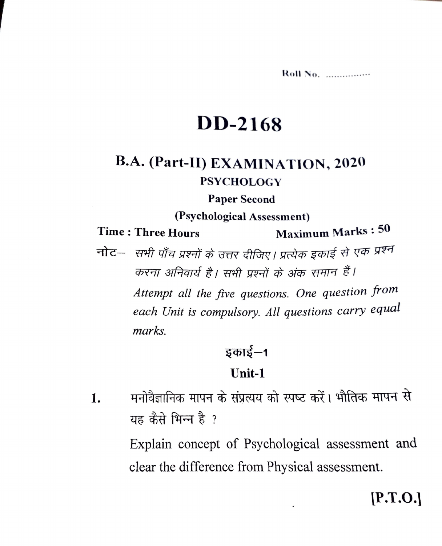Roll No. ................

## **DD-2168**

## **B.A. (Part-II) EXAMINATION, 2020 PSYCHOLOGY**

#### **Paper Second**

#### (Psychological Assessment)

**Time: Three Hours** 

**Maximum Marks: 50** 

नोट- सभी पाँच प्रश्नों के उत्तर दीजिए। प्रत्येक इकाई से एक प्रश्न करना अनिवार्य है। सभी प्रश्नों के अंक समान हैं।

Attempt all the five questions. One question from each Unit is compulsory. All questions carry equal *marks.* 

## इकाई–1

#### Unit-1

मनोवैज्ञानिक मापन के संप्रत्यय को स्पष्ट करें। भौतिक मापन से 1. यह कैसे भिन्न है ?

> Explain concept of Psychological assessment and clear the difference from Physical assessment.

## $[0.1.9]$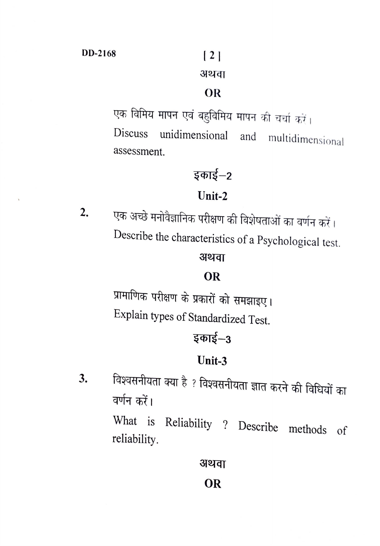# अथवा

#### **OR**

एक विमिय मापन एवं बहुविमिय मापन की चर्चा करें। Discuss unidimensional and multidimensional assessment.

## इकाई–2

## **Unit-2**

2. एक अच्छ मनविज्ञानिक परीक्षण की विशेषताओं का वर्णन करें। Describe the characteristics of a Psychological test.

## अथवा

### **OR**

प्रामाणिक परीक्षण के प्रकारों को समझाइए। Explain types of Standardized Test.

## **~-3**

### **Unit-3**

 $3.$  विश्वसनीयता क्या है ? विश्वसनीयता ज्ञात करने की विधियों का वर्णन करें।

> What is Reliability ? Describe methods of reliability.

> > अथवा **OR**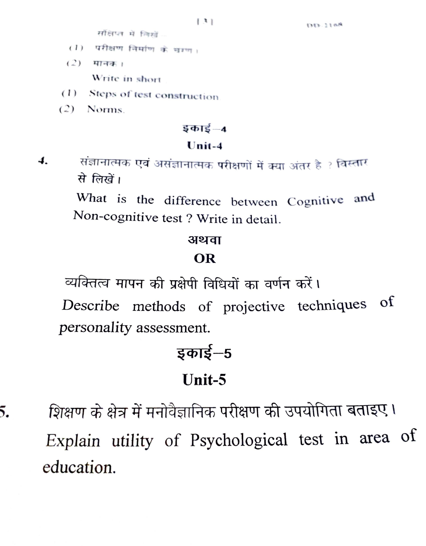संक्षिप्त में लिखें

- $(1)$  परीक्षण निर्माण के चाण।
- $(2)$  मानक। Write in short
- (1) Steps of test construction
- $(2)$  Norms

5.

#### $5 \Phi \overline{15} - 4$

#### $Unit-4$

 $\boldsymbol{4}$ . संज्ञानात्मक एवं असंज्ञानात्मक परीक्षणों में क्या अंतर है ? विस्तार से लिखें।

> What is the difference between Cognitive and Non-cognitive test ? Write in detail.

#### अथवा

#### OR

व्यक्तित्व मापन की प्रक्षेपी विधियों का वर्णन करें।

of Describe methods of projective techniques personality assessment.

# इकाई–5 Unit-5

शिक्षण के क्षेत्र में मनोवैज्ञानिक परीक्षण की उपयोगिता बताइए। Explain utility of Psychological test in area of education.